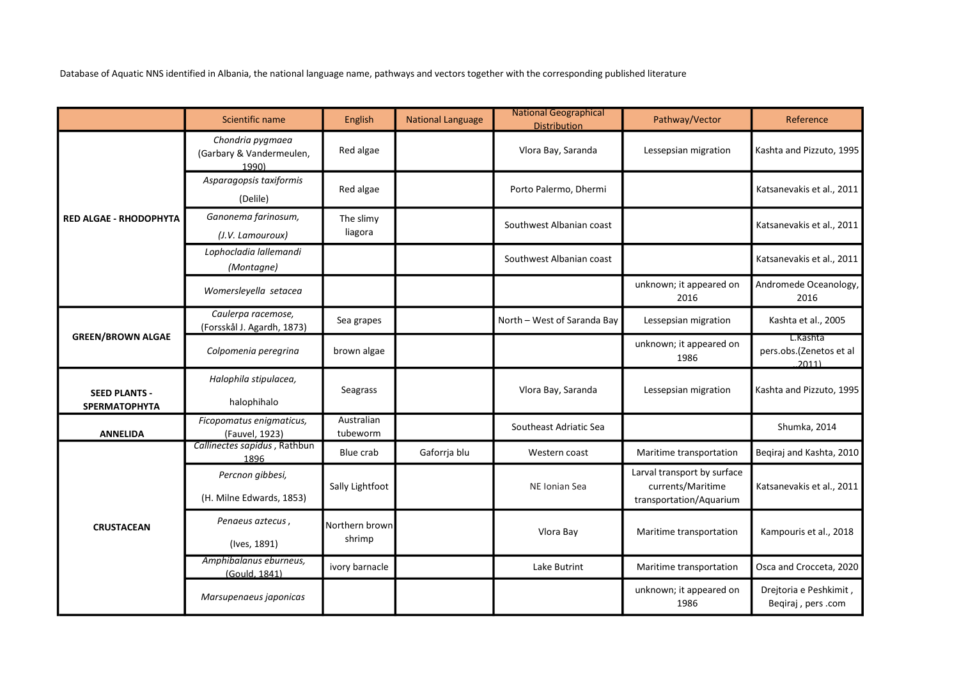Database of Aquatic NNS identified in Albania, the national language name, pathways and vectors together with the corresponding published literature

|                                       | Scientific name                                       | English                  | <b>National Language</b> | <b>National Geographical</b><br><b>Distribution</b> | Pathway/Vector                                                              | Reference                                   |
|---------------------------------------|-------------------------------------------------------|--------------------------|--------------------------|-----------------------------------------------------|-----------------------------------------------------------------------------|---------------------------------------------|
| <b>RED ALGAE - RHODOPHYTA</b>         | Chondria pygmaea<br>(Garbary & Vandermeulen,<br>1990) | Red algae                |                          | Vlora Bay, Saranda                                  | Lessepsian migration                                                        | Kashta and Pizzuto, 1995                    |
|                                       | Asparagopsis taxiformis<br>(Delile)                   | Red algae                |                          | Porto Palermo, Dhermi                               |                                                                             | Katsanevakis et al., 2011                   |
|                                       | Ganonema farinosum,<br>(J.V. Lamouroux)               | The slimy<br>liagora     |                          | Southwest Albanian coast                            |                                                                             | Katsanevakis et al., 2011                   |
|                                       | Lophocladia lallemandi<br>(Montagne)                  |                          |                          | Southwest Albanian coast                            |                                                                             | Katsanevakis et al., 2011                   |
|                                       | Womersleyella setacea                                 |                          |                          |                                                     | unknown; it appeared on<br>2016                                             | Andromede Oceanology,<br>2016               |
| <b>GREEN/BROWN ALGAE</b>              | Caulerpa racemose,<br>(Forsskål J. Agardh, 1873)      | Sea grapes               |                          | North - West of Saranda Bay                         | Lessepsian migration                                                        | Kashta et al., 2005                         |
|                                       | Colpomenia peregrina                                  | brown algae              |                          |                                                     | unknown; it appeared on<br>1986                                             | L.Kashta<br>pers.obs.(Zenetos et al<br>2011 |
| <b>SEED PLANTS -</b><br>SPERMATOPHYTA | Halophila stipulacea,<br>halophihalo                  | Seagrass                 |                          | Vlora Bay, Saranda                                  | Lessepsian migration                                                        | Kashta and Pizzuto, 1995                    |
| <b>ANNELIDA</b>                       | Ficopomatus enigmaticus,<br>(Fauvel, 1923)            | Australian<br>tubeworm   |                          | Southeast Adriatic Sea                              |                                                                             | Shumka, 2014                                |
| <b>CRUSTACEAN</b>                     | Callinectes sapidus, Rathbun<br>1896                  | Blue crab                | Gaforrja blu             | Western coast                                       | Maritime transportation                                                     | Begiraj and Kashta, 2010                    |
|                                       | Percnon gibbesi,<br>(H. Milne Edwards, 1853)          | Sally Lightfoot          |                          | NE Ionian Sea                                       | Larval transport by surface<br>currents/Maritime<br>transportation/Aquarium | Katsanevakis et al., 2011                   |
|                                       | Penaeus aztecus,<br>(Ives, 1891)                      | Northern brown<br>shrimp |                          | Vlora Bay                                           | Maritime transportation                                                     | Kampouris et al., 2018                      |
|                                       | Amphibalanus eburneus,<br>(Gould, 1841)               | ivory barnacle           |                          | Lake Butrint                                        | Maritime transportation                                                     | Osca and Crocceta, 2020                     |
|                                       | Marsupenaeus japonicas                                |                          |                          |                                                     | unknown; it appeared on<br>1986                                             | Drejtoria e Peshkimit,<br>Beqiraj, pers.com |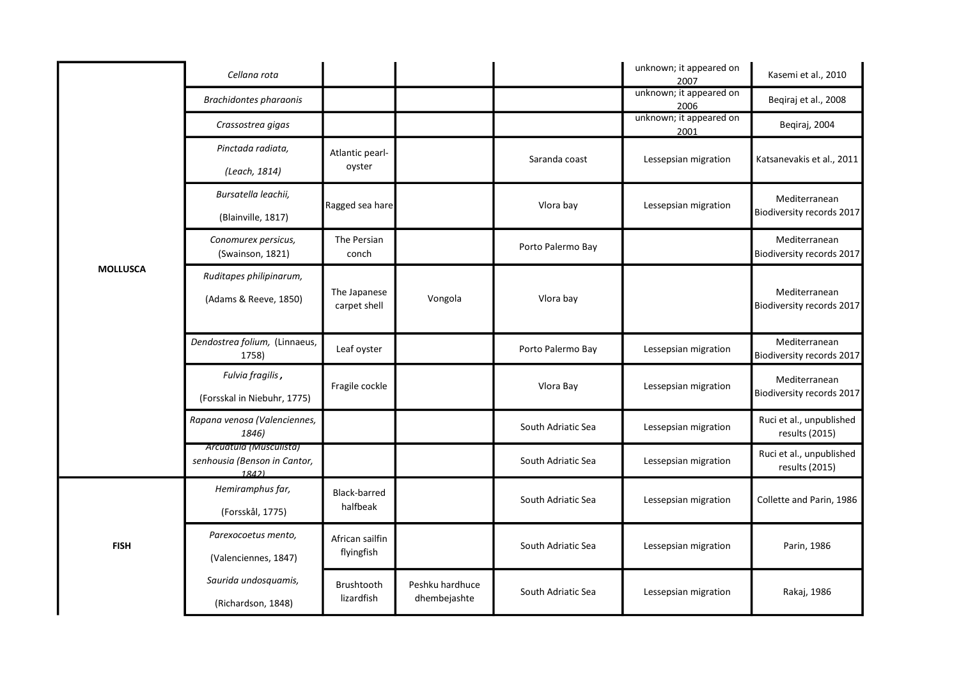|                 | Cellana rota                                                    |                                 |                                 |                    | unknown; it appeared on<br>2007 | Kasemi et al., 2010                        |
|-----------------|-----------------------------------------------------------------|---------------------------------|---------------------------------|--------------------|---------------------------------|--------------------------------------------|
|                 | <b>Brachidontes pharaonis</b>                                   |                                 |                                 |                    | unknown; it appeared on<br>2006 | Beqiraj et al., 2008                       |
|                 | Crassostrea gigas                                               |                                 |                                 |                    | unknown; it appeared on<br>2001 | Beqiraj, 2004                              |
|                 | Pinctada radiata,                                               | Atlantic pearl-                 |                                 | Saranda coast      | Lessepsian migration            | Katsanevakis et al., 2011                  |
|                 | (Leach, 1814)                                                   | oyster                          |                                 |                    |                                 |                                            |
|                 | Bursatella leachii,                                             | Ragged sea hare                 |                                 | Vlora bay          | Lessepsian migration            | Mediterranean<br>Biodiversity records 2017 |
|                 | (Blainville, 1817)                                              |                                 |                                 |                    |                                 |                                            |
|                 | Conomurex persicus,<br>(Swainson, 1821)                         | The Persian<br>conch            |                                 | Porto Palermo Bay  |                                 | Mediterranean<br>Biodiversity records 2017 |
| <b>MOLLUSCA</b> | Ruditapes philipinarum,                                         |                                 |                                 |                    |                                 |                                            |
|                 | (Adams & Reeve, 1850)                                           | The Japanese<br>carpet shell    | Vongola                         | Vlora bay          |                                 | Mediterranean<br>Biodiversity records 2017 |
|                 | Dendostrea folium, (Linnaeus,<br>1758)                          | Leaf oyster                     |                                 | Porto Palermo Bay  | Lessepsian migration            | Mediterranean<br>Biodiversity records 2017 |
|                 | Fulvia fragilis,                                                | Fragile cockle                  |                                 | Vlora Bay          | Lessepsian migration            | Mediterranean<br>Biodiversity records 2017 |
|                 | (Forsskal in Niebuhr, 1775)<br>Rapana venosa (Valenciennes,     |                                 |                                 |                    |                                 | Ruci et al., unpublished                   |
|                 | 1846)                                                           |                                 |                                 | South Adriatic Sea | Lessepsian migration            | results (2015)                             |
|                 | Arcuatula (Musculista)<br>senhousia (Benson in Cantor,<br>18421 |                                 |                                 | South Adriatic Sea | Lessepsian migration            | Ruci et al., unpublished<br>results (2015) |
| <b>FISH</b>     | Hemiramphus far,                                                | Black-barred<br>halfbeak        |                                 | South Adriatic Sea | Lessepsian migration            | Collette and Parin, 1986                   |
|                 | (Forsskål, 1775)                                                |                                 |                                 |                    |                                 |                                            |
|                 | Parexocoetus mento,                                             | African sailfin<br>flyingfish   |                                 | South Adriatic Sea | Lessepsian migration            | Parin, 1986                                |
|                 | (Valenciennes, 1847)                                            |                                 |                                 |                    |                                 |                                            |
|                 | Saurida undosquamis,                                            | <b>Brushtooth</b><br>lizardfish | Peshku hardhuce<br>dhembejashte | South Adriatic Sea | Lessepsian migration            | Rakaj, 1986                                |
|                 | (Richardson, 1848)                                              |                                 |                                 |                    |                                 |                                            |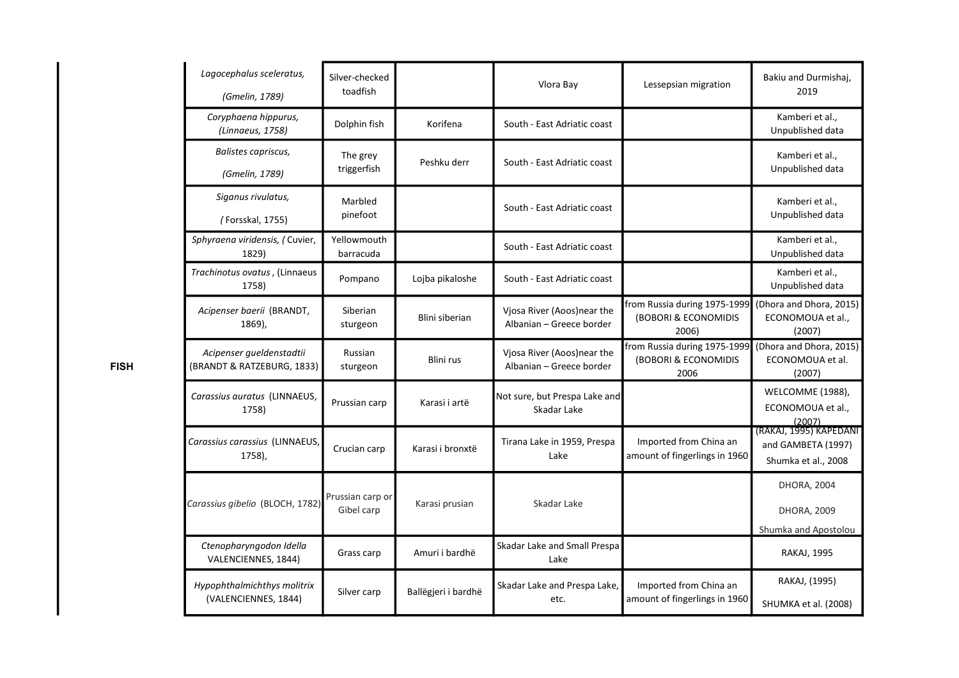| Lagocephalus sceleratus,<br>(Gmelin, 1789)             | Silver-checked<br>toadfish     |                     | Vlora Bay                                              | Lessepsian migration                                                                  | Bakiu and Durmishaj,<br>2019                                        |
|--------------------------------------------------------|--------------------------------|---------------------|--------------------------------------------------------|---------------------------------------------------------------------------------------|---------------------------------------------------------------------|
| Coryphaena hippurus,<br>(Linnaeus, 1758)               | Dolphin fish                   | Korifena            | South - East Adriatic coast                            |                                                                                       | Kamberi et al.,<br>Unpublished data                                 |
| <b>Balistes capriscus,</b><br>(Gmelin, 1789)           | The grey<br>triggerfish        | Peshku derr         | South - East Adriatic coast                            |                                                                                       | Kamberi et al.,<br>Unpublished data                                 |
| Siganus rivulatus,<br>(Forsskal, 1755)                 | Marbled<br>pinefoot            |                     | South - East Adriatic coast                            |                                                                                       | Kamberi et al.,<br>Unpublished data                                 |
| Sphyraena viridensis, (Cuvier,<br>1829)                | Yellowmouth<br>barracuda       |                     | South - East Adriatic coast                            |                                                                                       | Kamberi et al.,<br>Unpublished data                                 |
| Trachinotus ovatus, (Linnaeus<br>1758)                 | Pompano                        | Lojba pikaloshe     | South - East Adriatic coast                            |                                                                                       | Kamberi et al.,<br>Unpublished data                                 |
| Acipenser baerii (BRANDT,<br>1869),                    | Siberian<br>sturgeon           | Blini siberian      | Vjosa River (Aoos)near the<br>Albanian - Greece border | from Russia during 1975-1999 (Dhora and Dhora, 2015)<br>(BOBORI & ECONOMIDIS<br>2006) | ECONOMOUA et al.,<br>(2007)                                         |
| Acipenser gueldenstadtii<br>(BRANDT & RATZEBURG, 1833) | Russian<br>sturgeon            | Blini rus           | Vjosa River (Aoos)near the<br>Albanian - Greece border | from Russia during 1975-1999<br>(BOBORI & ECONOMIDIS<br>2006                          | (Dhora and Dhora, 2015)<br>ECONOMOUA et al.<br>(2007)               |
| Carassius auratus (LINNAEUS,<br>1758)                  | Prussian carp                  | Karasi i artë       | Not sure, but Prespa Lake and<br>Skadar Lake           |                                                                                       | WELCOMME (1988),<br>ECONOMOUA et al.,<br>(2007)                     |
| Carassius carassius (LINNAEUS,<br>1758),               | Crucian carp                   | Karasi i bronxtë    | Tirana Lake in 1959, Prespa<br>Lake                    | Imported from China an<br>amount of fingerlings in 1960                               | (RAKAJ, 1995) KAPEDANI<br>and GAMBETA (1997)<br>Shumka et al., 2008 |
| Carassius gibelio (BLOCH, 1782)                        | Prussian carp or<br>Gibel carp | Karasi prusian      | Skadar Lake                                            |                                                                                       | <b>DHORA, 2004</b><br><b>DHORA, 2009</b><br>Shumka and Apostolou    |
| Ctenopharyngodon Idella<br>VALENCIENNES, 1844)         | Grass carp                     | Amuri i bardhë      | Skadar Lake and Small Prespa<br>Lake                   |                                                                                       | <b>RAKAJ, 1995</b>                                                  |
| Hypophthalmichthys molitrix<br>(VALENCIENNES, 1844)    | Silver carp                    | Ballëgjeri i bardhë | Skadar Lake and Prespa Lake,<br>etc.                   | Imported from China an<br>amount of fingerlings in 1960                               | RAKAJ, (1995)<br>SHUMKA et al. (2008)                               |

FISH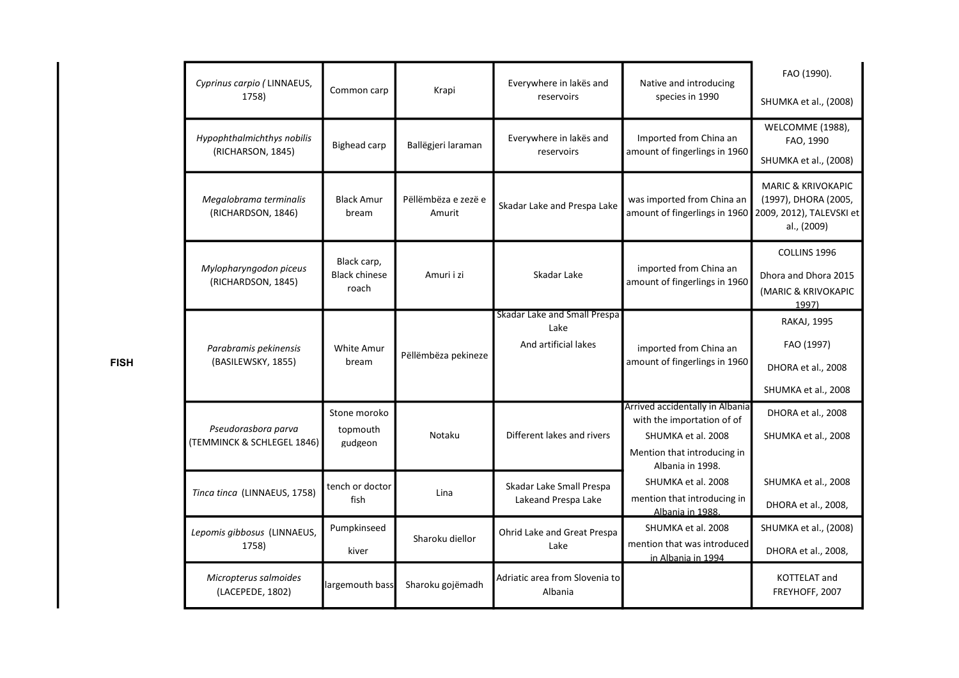| Cyprinus carpio (LINNAEUS,<br>1758)               | Common carp                                  |                               | Everywhere in lakës and<br>reservoirs                        | Native and introducing<br>species in 1990                                                                                              | FAO (1990).<br>SHUMKA et al., (2008)                                                             |
|---------------------------------------------------|----------------------------------------------|-------------------------------|--------------------------------------------------------------|----------------------------------------------------------------------------------------------------------------------------------------|--------------------------------------------------------------------------------------------------|
| Hypophthalmichthys nobilis<br>(RICHARSON, 1845)   | <b>Bighead carp</b>                          |                               | Everywhere in lakës and<br>reservoirs                        | Imported from China an<br>amount of fingerlings in 1960                                                                                | WELCOMME (1988),<br>FAO, 1990<br>SHUMKA et al., (2008)                                           |
| Megalobrama terminalis<br>(RICHARDSON, 1846)      | <b>Black Amur</b><br>bream                   | Pëllëmbëza e zezë e<br>Amurit | Skadar Lake and Prespa Lake                                  | was imported from China an<br>amount of fingerlings in 1960                                                                            | <b>MARIC &amp; KRIVOKAPIC</b><br>(1997), DHORA (2005,<br>2009, 2012), TALEVSKI et<br>al., (2009) |
| Mylopharyngodon piceus<br>(RICHARDSON, 1845)      | Black carp,<br><b>Black chinese</b><br>roach | Amuri i zi                    | Skadar Lake                                                  | imported from China an<br>amount of fingerlings in 1960                                                                                | COLLINS 1996<br>Dhora and Dhora 2015<br>(MARIC & KRIVOKAPIC<br>1997)                             |
| Parabramis pekinensis<br>(BASILEWSKY, 1855)       | <b>White Amur</b><br>bream                   | Pëllëmbëza pekineze           | Skadar Lake and Small Prespa<br>Lake<br>And artificial lakes | imported from China an<br>amount of fingerlings in 1960                                                                                | <b>RAKAJ, 1995</b><br>FAO (1997)<br>DHORA et al., 2008<br>SHUMKA et al., 2008                    |
| Pseudorasbora parva<br>(TEMMINCK & SCHLEGEL 1846) | Stone moroko<br>topmouth<br>gudgeon          | Notaku                        | Different lakes and rivers                                   | Arrived accidentally in Albania<br>with the importation of of<br>SHUMKA et al. 2008<br>Mention that introducing in<br>Albania in 1998. | DHORA et al., 2008<br>SHUMKA et al., 2008                                                        |
| Tinca tinca (LINNAEUS, 1758)                      | tench or doctor<br>fish                      | Lina                          | Skadar Lake Small Prespa<br>Lakeand Prespa Lake              | SHUMKA et al. 2008<br>mention that introducing in<br>Albania in 1988.                                                                  | SHUMKA et al., 2008<br>DHORA et al., 2008,                                                       |
| Lepomis gibbosus (LINNAEUS,<br>1758)              | Pumpkinseed<br>kiver                         | Sharoku diellor               | Ohrid Lake and Great Prespa<br>Lake                          | SHUMKA et al. 2008<br>mention that was introduced<br>in Albania in 1994                                                                | SHUMKA et al., (2008)<br>DHORA et al., 2008,                                                     |
| Micropterus salmoides<br>(LACEPEDE, 1802)         | largemouth bass                              | Sharoku gojëmadh              | Adriatic area from Slovenia to<br>Albania                    |                                                                                                                                        | KOTTELAT and<br>FREYHOFF, 2007                                                                   |

FISH